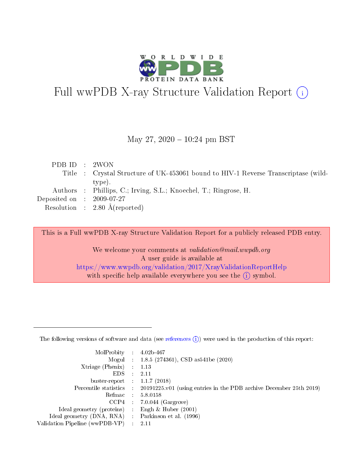

# Full wwPDB X-ray Structure Validation Report (i)

#### May 27,  $2020 - 10:24$  pm BST

| PDB ID : 2WON                        |                                                                                    |
|--------------------------------------|------------------------------------------------------------------------------------|
|                                      | Title : Crystal Structure of UK-453061 bound to HIV-1 Reverse Transcriptase (wild- |
|                                      | type).                                                                             |
|                                      | Authors : Phillips, C.; Irving, S.L.; Knoechel, T.; Ringrose, H.                   |
| Deposited on $\therefore$ 2009-07-27 |                                                                                    |
|                                      | Resolution : $2.80 \text{ Å}$ (reported)                                           |

This is a Full wwPDB X-ray Structure Validation Report for a publicly released PDB entry.

We welcome your comments at validation@mail.wwpdb.org A user guide is available at <https://www.wwpdb.org/validation/2017/XrayValidationReportHelp> with specific help available everywhere you see the  $(i)$  symbol.

The following versions of software and data (see [references](https://www.wwpdb.org/validation/2017/XrayValidationReportHelp#references)  $(1)$ ) were used in the production of this report:

| MolProbity :                   |               | $4.02b - 467$                                                               |
|--------------------------------|---------------|-----------------------------------------------------------------------------|
|                                |               | Mogul : $1.8.5$ (274361), CSD as 541be (2020)                               |
| Xtriage (Phenix)               | $\mathcal{L}$ | 1.13                                                                        |
| EDS.                           |               | 2.11                                                                        |
| buster-report : $1.1.7$ (2018) |               |                                                                             |
| Percentile statistics :        |               | $20191225 \text{v}01$ (using entries in the PDB archive December 25th 2019) |
| Refmac :                       |               | 5.8.0158                                                                    |
| CCP4                           |               | $7.0.044$ (Gargrove)                                                        |
| Ideal geometry (proteins) :    |               | Engh $\&$ Huber (2001)                                                      |
| Ideal geometry (DNA, RNA) :    |               | Parkinson et al. (1996)                                                     |
| Validation Pipeline (wwPDB-VP) | $\mathcal{L}$ | 2.11                                                                        |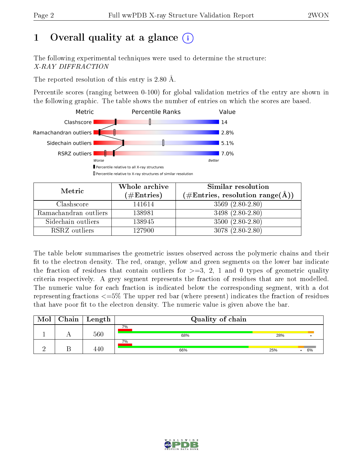# 1 [O](https://www.wwpdb.org/validation/2017/XrayValidationReportHelp#overall_quality)verall quality at a glance  $(i)$

The following experimental techniques were used to determine the structure: X-RAY DIFFRACTION

The reported resolution of this entry is 2.80 Å.

Percentile scores (ranging between 0-100) for global validation metrics of the entry are shown in the following graphic. The table shows the number of entries on which the scores are based.



| Metric                | Whole archive<br>$(\#\mathrm{Entries})$ | Similar resolution<br>$(\#\text{Entries}, \text{resolution range}(\text{\AA}))$ |  |  |
|-----------------------|-----------------------------------------|---------------------------------------------------------------------------------|--|--|
| Clashscore            | 141614                                  | $3569(2.80-2.80)$                                                               |  |  |
| Ramachandran outliers | 138981                                  | $3498(2.80-2.80)$                                                               |  |  |
| Sidechain outliers    | 138945                                  | $3500(2.80-2.80)$                                                               |  |  |
| RSRZ outliers         | 127900                                  | $3078(2.80-2.80)$                                                               |  |  |

The table below summarises the geometric issues observed across the polymeric chains and their fit to the electron density. The red, orange, yellow and green segments on the lower bar indicate the fraction of residues that contain outliers for  $\geq=3$ , 2, 1 and 0 types of geometric quality criteria respectively. A grey segment represents the fraction of residues that are not modelled. The numeric value for each fraction is indicated below the corresponding segment, with a dot representing fractions  $\epsilon = 5\%$  The upper red bar (where present) indicates the fraction of residues that have poor fit to the electron density. The numeric value is given above the bar.

| Mol | Chain | Length | Quality of chain |     |    |  |  |  |
|-----|-------|--------|------------------|-----|----|--|--|--|
|     |       | 560    | 7%<br>68%        | 28% |    |  |  |  |
|     |       | 440    | 7%<br>66%        | 25% | 6% |  |  |  |

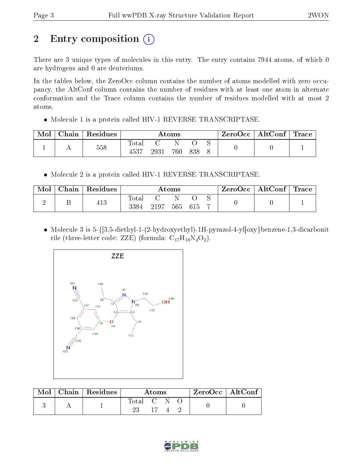# 2 Entry composition (i)

There are 3 unique types of molecules in this entry. The entry contains 7944 atoms, of which 0 are hydrogens and 0 are deuteriums.

In the tables below, the ZeroOcc column contains the number of atoms modelled with zero occupancy, the AltConf column contains the number of residues with at least one atom in alternate conformation and the Trace column contains the number of residues modelled with at most 2 atoms.

• Molecule 1 is a protein called HIV-1 REVERSE TRANSCRIPTASE.

| Mol | Chain | Residues | Atoms         |      |     | ZeroOcc | $\mid$ AltConf $\mid$ Trace |  |  |  |
|-----|-------|----------|---------------|------|-----|---------|-----------------------------|--|--|--|
|     |       | 558      | Total<br>4537 | 2931 | 760 | 838     |                             |  |  |  |

• Molecule 2 is a protein called HIV-1 REVERSE TRANSCRIPTASE.

| Mol | $Chain   Residues$ | Atoms               |      |         | $\text{ZeroOcc} \mid \text{AltConf} \mid \text{Trace}$ |  |  |  |
|-----|--------------------|---------------------|------|---------|--------------------------------------------------------|--|--|--|
|     | 413                | $\rm Total$<br>3384 | 2197 | 565 615 |                                                        |  |  |  |

 Molecule 3 is 5-{[3,5-diethyl-1-(2-hydroxyethyl)-1H-pyrazol-4-yl]oxy}benzene-1,3-dicarbonit rile (three-letter code: ZZE) (formula:  $C_{17}H_{18}N_4O_2$ ).



|  | $Mol$   Chain   Residues | Atoms     |  | $ZeroOcc \   \ AltConf \  $ |  |  |  |
|--|--------------------------|-----------|--|-----------------------------|--|--|--|
|  |                          | Total C N |  |                             |  |  |  |

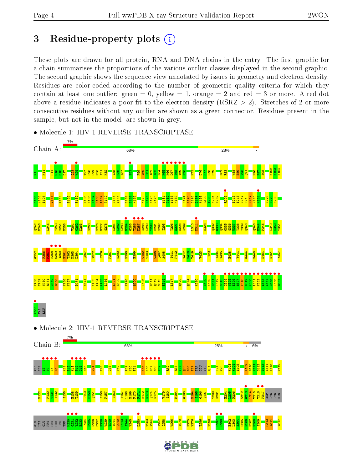# 3 Residue-property plots  $(i)$

These plots are drawn for all protein, RNA and DNA chains in the entry. The first graphic for a chain summarises the proportions of the various outlier classes displayed in the second graphic. The second graphic shows the sequence view annotated by issues in geometry and electron density. Residues are color-coded according to the number of geometric quality criteria for which they contain at least one outlier: green  $= 0$ , yellow  $= 1$ , orange  $= 2$  and red  $= 3$  or more. A red dot above a residue indicates a poor fit to the electron density (RSRZ  $> 2$ ). Stretches of 2 or more consecutive residues without any outlier are shown as a green connector. Residues present in the sample, but not in the model, are shown in grey.

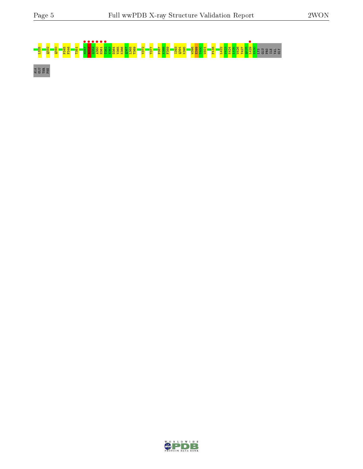# L325 Q332 Q340 P345 F346 T351 M357 • R358 • G359 • A360 • H361 • T362 • N363 D364 V365 K366 Q367 L368 T369 V372 T377 P387 K388 F389 I393 Q394 K395 W398 E399 T400 W401 F416 L422 V423 K424 L425 W426 Y427 Q428 L429 • E430 LYS GLU PRO ILE VAL GLY ALA GLU THR PHE

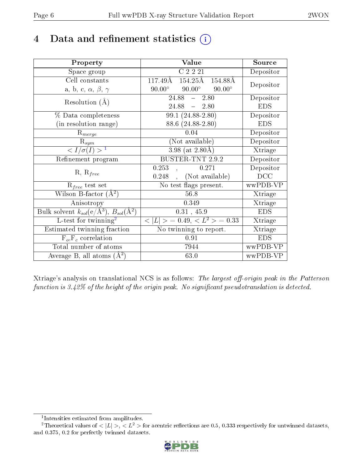# 4 Data and refinement statistics  $(i)$

| Property                                                                | Value                                           | Source     |
|-------------------------------------------------------------------------|-------------------------------------------------|------------|
| Space group                                                             | C2221                                           | Depositor  |
| Cell constants                                                          | $154.25\text{\AA}$<br>117.49Å<br>154.88Å        |            |
| a, b, c, $\alpha$ , $\beta$ , $\gamma$                                  | $90.00^\circ$<br>$90.00^\circ$<br>$90.00^\circ$ | Depositor  |
| Resolution $(A)$                                                        | 24.88<br>2.80<br>$\frac{1}{2}$                  | Depositor  |
|                                                                         | 24.88<br>$-2.80$                                | <b>EDS</b> |
| % Data completeness                                                     | 99.1 (24.88-2.80)                               | Depositor  |
| (in resolution range)                                                   | 88.6 (24.88-2.80)                               | <b>EDS</b> |
| $R_{merge}$                                                             | 0.04                                            | Depositor  |
| $\mathrm{R}_{sym}$                                                      | (Not available)                                 | Depositor  |
| $\langle I/\sigma(I) \rangle^{-1}$                                      | $3.98$ (at $2.80\text{\AA}$ )                   | Xtriage    |
| Refinement program                                                      | <b>BUSTER-TNT 2.9.2</b>                         | Depositor  |
|                                                                         | 0.253<br>0.271                                  | Depositor  |
| $R, R_{free}$                                                           | (Not available)<br>0.248                        | DCC        |
| $R_{free}$ test set                                                     | No test flags present.                          | wwPDB-VP   |
| Wilson B-factor $(A^2)$                                                 | 56.8                                            | Xtriage    |
| Anisotropy                                                              | 0.349                                           | Xtriage    |
| Bulk solvent $k_{sol}(\mathrm{e}/\mathrm{A}^3),\,B_{sol}(\mathrm{A}^2)$ | 0.31, 45.9                                      | <b>EDS</b> |
| L-test for twinning <sup>2</sup>                                        | $< L >$ = 0.49, $< L^2 >$ = 0.33                | Xtriage    |
| Estimated twinning fraction                                             | No twinning to report.                          | Xtriage    |
| $F_o, F_c$ correlation                                                  | 0.91                                            | <b>EDS</b> |
| Total number of atoms                                                   | 7944                                            | wwPDB-VP   |
| Average B, all atoms $(A^2)$                                            | 63.0                                            | wwPDB-VP   |

Xtriage's analysis on translational NCS is as follows: The largest off-origin peak in the Patterson function is  $3.42\%$  of the height of the origin peak. No significant pseudotranslation is detected.

<sup>&</sup>lt;sup>2</sup>Theoretical values of  $\langle |L| \rangle$ ,  $\langle L^2 \rangle$  for acentric reflections are 0.5, 0.333 respectively for untwinned datasets, and 0.375, 0.2 for perfectly twinned datasets.



<span id="page-5-1"></span><span id="page-5-0"></span><sup>1</sup> Intensities estimated from amplitudes.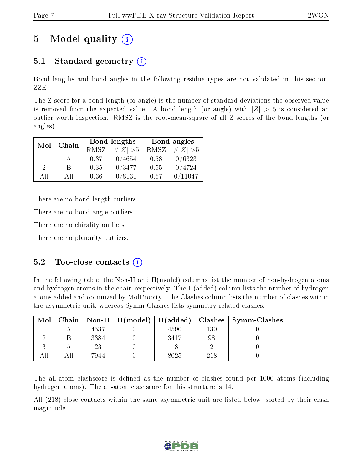# 5 Model quality  $(i)$

## 5.1 Standard geometry  $(i)$

Bond lengths and bond angles in the following residue types are not validated in this section: ZZE

The Z score for a bond length (or angle) is the number of standard deviations the observed value is removed from the expected value. A bond length (or angle) with  $|Z| > 5$  is considered an outlier worth inspection. RMSZ is the root-mean-square of all Z scores of the bond lengths (or angles).

| Mol      | Chain |             | Bond lengths | Bond angles |             |  |
|----------|-------|-------------|--------------|-------------|-------------|--|
|          |       | <b>RMSZ</b> | $\# Z  > 5$  | RMSZ        | $\# Z  > 5$ |  |
|          |       | 0.37        | 0/4654       | 0.58        | 0/6323      |  |
| $\Omega$ | R     | 0.35        | 0/3477       | 0.55        | 0/4724      |  |
| AĦ       | A 11  | 0.36        | 0/8131       | 0.57        | 11047       |  |

There are no bond length outliers.

There are no bond angle outliers.

There are no chirality outliers.

There are no planarity outliers.

#### $5.2$  Too-close contacts  $(i)$

In the following table, the Non-H and H(model) columns list the number of non-hydrogen atoms and hydrogen atoms in the chain respectively. The H(added) column lists the number of hydrogen atoms added and optimized by MolProbity. The Clashes column lists the number of clashes within the asymmetric unit, whereas Symm-Clashes lists symmetry related clashes.

| Mol |      | Chain   Non-H   $H(model)$   $H(added)$   Clashes |      |     | $\vert$ Symm-Clashes |
|-----|------|---------------------------------------------------|------|-----|----------------------|
|     | 4537 |                                                   | 4590 | 130 |                      |
|     | 3384 |                                                   | 3417 |     |                      |
|     |      |                                                   |      |     |                      |
|     | 7944 |                                                   | 8025 | 218 |                      |

The all-atom clashscore is defined as the number of clashes found per 1000 atoms (including hydrogen atoms). The all-atom clashscore for this structure is 14.

All (218) close contacts within the same asymmetric unit are listed below, sorted by their clash magnitude.

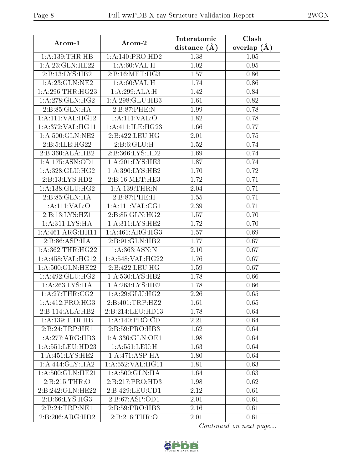| Atom-1               | Atom-2                           | Interatomic      | Clash                  |  |
|----------------------|----------------------------------|------------------|------------------------|--|
|                      |                                  | distance $(\AA)$ | overlap $(\AA)$        |  |
| 1: A: 139: THR: HB   | 1:A:140:PRO:HD2                  | 1.38             | 1.05                   |  |
| 1: A:23: GLN: HE22   | 1: A:60: VAL:H                   | 1.02             | 0.95                   |  |
| 2:Bi:13:LYS:HB2      | 2: B: 16: MET: HG3               | 1.57             | 0.86                   |  |
| 1:A:23:GLN:NE2       | 1: A:60: VAL:H                   | 1.74             | 0.86                   |  |
| 1: A:296:THR:HG23    | 1:A:299:ALA:H                    | 1.42             | 0.84                   |  |
| 1:A:278:GLN:HG2      | 1:A:298:GLU:HB3                  | 1.61             | 0.82                   |  |
| 2:B:85:GLN:HA        | 2: B:87:PHE:N                    | 1.99             | 0.78                   |  |
| 1:A:111:VAL:HG12     | $1:$ A:111:VAL:O                 | 1.82             | 0.78                   |  |
| 1: A:372: VAL:HGI1   | 1:A:411:ILE:HG23                 | 1.66             | 0.77                   |  |
| 1: A:500: GLN: NE2   | 2:B:422:LEU:HG                   | 2.01             | 0.75                   |  |
| 2:B:5:ILE:HG22       | 2: B:6: GLU: H                   | 1.52             | 0.74                   |  |
| 2:B:360:ALA:HB2      | 2:B:366:LYS:HD2                  | 1.69             | 0.74                   |  |
| 1:A:175:ASN:OD1      | 1:A:201:LYS:HE3                  | 1.87             | 0.74                   |  |
| 1: A:328: GLU: HG2   | 1: A:390: LYS: HB2               | 1.70             | 0.72                   |  |
| 2:B:13:LYS:HD2       | 2:B:16:MET:HE3                   | 1.72             | 0.71                   |  |
| 1: A: 138: GLU: HG2  | 1: A: 139: THEN: N               | 2.04             | 0.71                   |  |
| 2: B:85: GLN:HA      | 2: B:87:PHE:H                    | 1.55             | 0.71                   |  |
| 1: A: 111: VAL: O    | 1: A:111: VAL:CG1                | 2.39             | 0.71                   |  |
| 2:B:13:LYS:HZ1       | 2:B:85:GLN:HG2                   | 1.57             | 0.70                   |  |
| 1: A:311:LYS:HA      | $1:A:311:LY\overline{S:HE2}$     | 1.72             | 0.70                   |  |
| 1:A:461:ARG:HH11     | 1: A:461: ARG:HG3                | 1.57             | 0.69                   |  |
| 2:B:86:ASP:HA        | 2:B:91:GLN:HB2                   | 1.77             | 0.67                   |  |
| 1: A: 362: THR: HG22 | 1: A:363:ASN:N                   | 2.10             | 0.67                   |  |
| 1:A:458:VAL:HG12     | 1:A:548:VAL:HG22                 | 1.76             | 0.67                   |  |
| 1:A:500:GLN:HE22     | 2:B:422:LEU:HG                   | 1.59             | 0.67                   |  |
| 1: A:492: GLU:HG2    | 1: A:530: LYS: HB2               | 1.78             | 0.66                   |  |
| 1: A:263:LYS:HA      | 1:A:263:LYS:HE2                  | 1.78             | 0.66                   |  |
| 1: A:27:THR:CG2      | 1:A:29:GLU:HG2                   | 2.26             | 0.65                   |  |
| 1: A: 412: PRO:HG3   | 2:B:401:TRP:HZ2                  | 1.61             | 0.65                   |  |
| 2:B:114:ALA:HB2      | 2:B:214:LEU:HD13                 | 1.78             | 0.64                   |  |
| 1:A:139:THR:HB       | 1: A:140: PRO:CD                 | 2.21             | 0.64                   |  |
| 2:B:24:TRP:HE1       | 2: B:59: PRO:HB3                 | 1.62             | 0.64                   |  |
| 1:A:277:ARG:HB3      | $1: A: 336: GLN: \overline{OE1}$ | 1.98             | 0.64                   |  |
| 1: A:551:LEU:HD23    | 1: A: 551: LEU:H                 | 1.63             | 0.64                   |  |
| 1: A:451:LYS:HE2     | 1:A:471:ASP:HA                   | 1.80             | 0.64                   |  |
| 1:A:444:GLY:HA2      | 1:A:552:VAL:HG11                 | 1.81             | 0.63                   |  |
| 1: A:500: GLN: HE21  | 1: A:500: GLN: HA                | 1.64             | 0.63                   |  |
| 2:B:215:THR:O        | 2:B:217:PRO:HD3                  | 1.98             | 0.62                   |  |
| 2:B:242:GLN:HE22     | 2:B:429:LEU:CD1                  | 2.12             | 0.61                   |  |
| 2:B:66:LYS:HG3       | 2:B:67:ASP:OD1                   | 2.01             | 0.61                   |  |
| 2:B:24:TRP:NE1       | 2: B:59: PRO:HB3                 | 2.16             | 0.61                   |  |
| 2:B:206:ARG:HD2      | 2:B:216:THR:O                    | 2.01             | 0.61                   |  |
|                      |                                  |                  | Continued on next page |  |

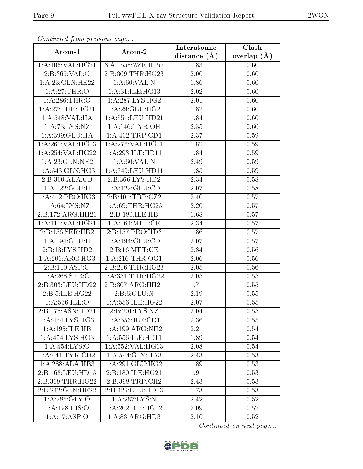| Continuea jioin pievivus page |                      | Interatomic       | Clash         |  |
|-------------------------------|----------------------|-------------------|---------------|--|
| Atom-1                        | Atom-2               | distance $(A)$    | overlap $(A)$ |  |
| 1:A:106:VAL:HG21              | 3:A:1558:ZZE:H152    | 1.83              | 0.60          |  |
| 2:B:365:VAL:O                 | 2:B:369:THR:HG23     | 2.00              | 0.60          |  |
| 1: A:23: GLN: HE22            | 1: A:60: VAL:N       | 1.86              | 0.60          |  |
| 1:A:27:THR:O                  | 1:A:31:ILE:HG13      | 2.02              | 0.60          |  |
| 1: A:286:THR:O                | 1: A:287:LYS:HG2     | $2.01\,$          | 0.60          |  |
| 1:A:27:THR:HG21               | 1: A:29: GLU: HG2    | 1.82              | 0.60          |  |
| 1:A:548:VAL:HA                | 1: A: 551: LEU: HD21 | 1.84              | 0.60          |  |
| 1:A:73:LYS:NZ                 | 1: A:146: TYR:OH     | 2.35              | 0.60          |  |
| 1:A:399:GLU:HA                | 1: A:402:TRP:CD1     | 2.37              | 0.59          |  |
| 1:A:261:VAL:HG13              | 1:A:276:VAL:HG11     | 1.82              | 0.59          |  |
| 1: A:254:VAL:HG22             | 1:A:293:ILE:HD11     | 1.84              | 0.59          |  |
| 1: A:23: GLN:NE2              | 1: A:60: VAL:N       | 2.49              | 0.59          |  |
| 1: A:343: GLN: HG3            | 1: A:349: LEU: HD11  | 1.85              | 0.59          |  |
| 2:B:360:ALA:CB                | 2:B:366:LYS:HD2      | 2.34              | 0.58          |  |
| 1:A:122:GLU:H                 | 1: A: 122: GLU: CD   | 2.07              | 0.58          |  |
| $1:A:412:PRO:H\overline{G3}$  | 2:B:401:TRP:CZ2      | 2.40              | 0.57          |  |
| 1: A:64:LYS:NZ                | 1:A:69:THR:HG23      | 2.20              | 0.57          |  |
| 2:B:172:ARG:HH21              | 2:B:180:ILE:HB       | 1.68              | 0.57          |  |
| 1:A:111:VAL:HG21              | 1:A:164:MET:CE       | 2.34              | 0.57          |  |
| 2:B:156:SER:HB2               | 2:B:157:PRO:HD3      | 1.86              | 0.57          |  |
| 1:A:194:GLU:H                 | 1: A: 194: GLU: CD   | 2.07              | 0.57          |  |
| 2:B:13:LYS:HD2                | 2:B:16:MET:CE        | 2.34              | 0.56          |  |
| 1: A:206:ARG:HG3              | 1: A:216:THR:OG1     | 2.06              | 0.56          |  |
| 2:B:110:ASP:O                 | 2:B:216:THR:HG23     | $\overline{2.05}$ | 0.56          |  |
| 1:A:268:SER:O                 | 1: A: 351: THR: HG22 | 2.05              | 0.55          |  |
| 2:B:303:LEU:HD22              | 2:B:307:ARG:HH21     | 1.71              | 0.55          |  |
| 2:B:5:ILE:HG22                | 2: B:6: GLU:N        | 2.19              | 0.55          |  |
| 1: A: 556: ILE: O             | 1: A: 556: ILE: HG22 | 2.07              | 0.55          |  |
| 2:B:175:ASN:HD21              | 2:B:201:LYS:NZ       | 2.04              | 0.55          |  |
| 1: A: 454: LYS: HG3           | 1: A: 556: ILE: CD1  | 2.36              | 0.55          |  |
| 1:A:195:ILE:HB                | 1:A:199:ARG:NH2      | 2.21              | 0.54          |  |
| 1: A: 454: LYS: HG3           | 1: A: 556: ILE: HD11 | 1.89              | 0.54          |  |
| 1:A:454:LYS:O                 | 1: A: 552: VAL: HG13 | 2.08              | 0.54          |  |
| 1:A:441:TYR:CD2               | 1: A:544: GLY:HA3    | 2.43              | 0.53          |  |
| 1:A:288:ALA:HB3               | 1: A:291: GLU:HG2    | 1.89              | 0.53          |  |
| 2:B:168:LEU:HD13              | 2:B:180:ILE:HG21     | 1.91              | 0.53          |  |
| 2:B:369:THR:HG22              | 2:B:398:TRP:CH2      | 2.43              | 0.53          |  |
| 2:B:242:GLN:HE22              | 2:B:429:LEU:HD13     | 1.73              | 0.53          |  |
| 1: A:285: GLY:O               | 1:A:287:LYS:N        | 2.42              | 0.52          |  |
| 1:A:198:HIS:O                 | 1:A:202:ILE:HG12     | 2.09              | 0.52          |  |
| 1:A:17:ASP:O                  | 1: A:83: ARG:HD3     | 2.10              | 0.52          |  |

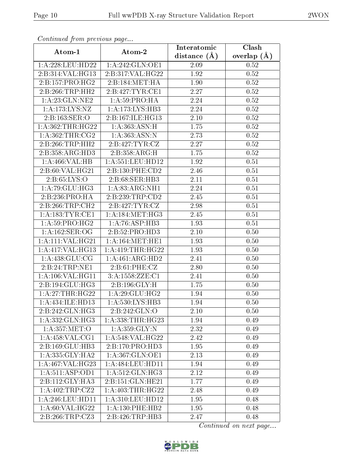| Continuea from previous page |                      | Interatomic       | Clash         |  |
|------------------------------|----------------------|-------------------|---------------|--|
| Atom-1                       | Atom-2               | distance $(A)$    | overlap $(A)$ |  |
| 1: A:228:LEU:HD22            | 1: A:242: GLN:OE1    | 2.09              | 0.52          |  |
| 2:B:314:VAL:HG13             | 2:B:317:VAL:HG22     | 1.92              | 0.52          |  |
| 2:B:157:PRO:HG2              | 2:B:184:MET:HA       | 1.90              | 0.52          |  |
| 2:B:266:TRP:HH2              | 2:B:427:TYR:CE1      | 2.27              | 0.52          |  |
| 1: A:23: GLN:NE2             | 1: A:59: PRO:HA      | 2.24              | 0.52          |  |
| 1:A:173:LYS:NZ               | 1:A:173:LYS:HB3      | 2.24              | 0.52          |  |
| 2:B:163:SER:O                | 2:B:167:ILE:HG13     | $2.10\,$          | 0.52          |  |
| 1:A:362:THR:HG22             | 1: A:363:ASN:H       | 1.75              | 0.52          |  |
| 1: A:362:THR:CG2             | 1: A:363: ASN:N      | $\overline{2}.73$ | 0.52          |  |
| 2:B:266:TRP:HH2              | 2:B:427:TYR:CZ       | 2.27              | 0.52          |  |
| 2:B:358:ARG:HD3              | 2:B:358:ARG:H        | 1.75              | 0.52          |  |
| 1:A:466:VAL:HB               | 1: A: 551: LEU: HD12 | 1.92              | 0.51          |  |
| 2:B:60:VAL:HG21              | 2:B:130:PHE:CD2      | 2.46              | 0.51          |  |
| 2: B:65: LYS:O               | 2:B:68:SER:HB3       | 2.11              | 0.51          |  |
| 1:A:79:GLU:HG3               | 1:A:83:ARG:NH1       | 2.24              | 0.51          |  |
| 2:B:236:PRO:HA               | 2:B:239:TRP:CD2      | 2.45              | 0.51          |  |
| 2:B:266:TRP:CH2              | 2:B:427:TYR:CZ       | 2.98              | 0.51          |  |
| 1: A: 183: TYR: CE1          | 1: A:184:MET:HG3     | 2.45              | 0.51          |  |
| 1:A:59:PRO:HG2               | 1:A:76:ASP:HB3       | $\overline{1}.93$ | 0.51          |  |
| 1: A: 162: SER: OG           | 2:B:52:PRO:HD3       | 2.10              | 0.50          |  |
| 1:A:111:VAL:HG21             | 1: A:164:MET:HE1     | 1.93              | 0.50          |  |
| 1:A:417:VAL:HG13             | 1: A: 419: THR: HG22 | 1.93              | 0.50          |  |
| 1: A:438: GLU:CG             | 1:A:461:ARG:HD2      | 2.41              | 0.50          |  |
| 2:B:24:TRP:NE1               | 2: B:61: PHE: CZ     | 2.80              | 0.50          |  |
| 1:A:106:VAL:HG11             | 3:A:1558:ZZE:C1      | 2.41              | 0.50          |  |
| 2:B:194:GLU:HG3              | 2:B:196:GLY:H        | 1.75              | 0.50          |  |
| 1: A:27:THR:HG22             | 1: A:29: GLU: HG2    | 1.94              | 0.50          |  |
| 1:A:434:ILE:HD13             | 1:A:530:LYS:HB3      | 1.94              | 0.50          |  |
| 2:B:242:GLN:HG3              | 2:B:242:GLN:O        | 2.10              | 0.50          |  |
| 1: A: 332: GLN: HG3          | 1: A: 338: THR: HG23 | 1.94              | 0.49          |  |
| 1: A:357: MET:O              | 1: A:359: GLY:N      | 2.32              | 0.49          |  |
| 1:A:458:VAL:CG1              | 1: A:548: VAL:HG22   | 2.42              | 0.49          |  |
| 2:B:169:GLU:HB3              | 2:B:170:PRO:HD3      | 1.95              | 0.49          |  |
| 1: A: 335: GLY: HA2          | 1:A:367:GLN:OE1      | 2.13              | 0.49          |  |
| 1:A:467:VAL:HG23             | 1: A: 484: LEU: HD11 | 1.94              | 0.49          |  |
| 1:A:511:ASP:OD1              | 1:A:512:GLN:HG3      | 2.12              | 0.49          |  |
| $2:B:112:GLY:H\overline{A3}$ | 2:B:151:GLN:HE21     | 1.77              | 0.49          |  |
| 1:A:402:TRP:CZ2              | 1: A:403:THR:HG22    | 2.48              | 0.49          |  |
| 1: A:246:LEU:HD11            | 1: A:310: LEU: HD12  | 1.95              | 0.48          |  |
| 1: A:60: VAL:HG22            | 1: A: 130: PHE: HB2  | 1.95              | 0.48          |  |
| 2:B:266:TRP:CZ3              | 2:B:426:TRP:HB3      | 2.47              | 0.48          |  |

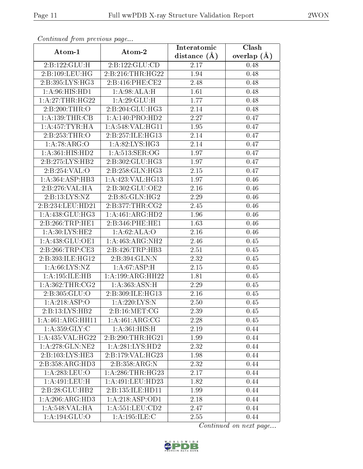| Commaca from previous page     |                            | Interatomic        | Clash         |
|--------------------------------|----------------------------|--------------------|---------------|
| Atom-1                         | Atom-2                     | distance $(A)$     | overlap $(A)$ |
| 2:B:122:GLU:H                  | 2:B:122:GLU:CD             | 2.17               | 0.48          |
| 2: B: 109: LEU: HG             | 2:B:216:THR:HG22           | 1.94               | 0.48          |
| 2:B:395:LYS:HG3                | 2: B:416: PHE:CE2          | 2.48               | 0.48          |
| 1: A:96: HIS: HD1              | 1:A:98:ALA:H               | 1.61               | 0.48          |
| 1:A:27:THR:HG22                | $1:A:29:\overline{GLU:H}$  | 1.77               | 0.48          |
| 2:B:200:THR:O                  | 2:B:204:GLU:HG3            | 2.14               | 0.48          |
| 1: A: 139: THR: CB             | 1:A:140:PRO:HD2            | 2.27               | 0.47          |
| 1:A:457:TYR:HA                 | 1:A:548:VAL:HG11           | 1.95               | 0.47          |
| 2:Bi:253:THR:O                 | 2:B:257:ILE:HG13           | 2.14               | 0.47          |
| 1: A:78: ARG:O                 | 1: A:82: LYS: HG3          | 2.14               | 0.47          |
| $1: A:361: \overline{HIS:HD2}$ | 1: A:513: SER:OG           | 1.97               | 0.47          |
| 2:B:275:LYS:HB2                | 2:B:302:GLU:HG3            | 1.97               | 0.47          |
| 2:B:254:VAL:O                  | 2:B:258:GLN:HG3            | 2.15               | 0.47          |
| 1: A: 364: ASP: HB3            | 1: A:423: VAL:HG13         | 1.97               | 0.46          |
| 2:Bi:276:VAL:HA                | 2:B:302:GLU:OE2            | 2.16               | 0.46          |
| 2:B:13:LYS:NZ                  | 2:B:85:GLN:HG2             | 2.29               | 0.46          |
| 2:B:234:LEU:HD21               | 2:B:377:THR:CG2            | 2.45               | 0.46          |
| 1: A:438: GLU:HG3              | 1:A:461:ARG:HD2            | 1.96               | 0.46          |
| 2:B:266:TRP:HE1                | 2:B:346:PHE:HE1            | 1.63               | 0.46          |
| $1:A:30:LYS:H\overline{E2}$    | 1:A:62:ALA:O               | 2.16               | 0.46          |
| 1:A:438:GLU:OE1                | 1:A:463:ARG:NH2            | 2.46               | 0.45          |
| 2:B:266:TRP:CE3                | 2:B:426:TRP:HB3            | 2.51               | 0.45          |
| 2:B:393:ILE:HG12               | 2:B:394:GLN:N              | 2.32               | 0.45          |
| 1: A:66: LYS:NZ                | 1: A:67:ASP:H              | $2.15\,$           | 0.45          |
| 1:A:195:ILE:HB                 | 1:A:199:ARG:HH22           | $\overline{1}$ .81 | 0.45          |
| 1: A:362:THR:CG2               | 1: A:363:ASN:H             | $\overline{2}.29$  | 0.45          |
| 2:B:305:GLU:O                  | 2:B:309:ILE:HG13           | 2.16               | 0.45          |
| 1: A:218: ASP:O                | $1:A:220:LYS:\overline{N}$ | 2.50               | 0.45          |
| 2:B:13:LYS:HB2                 | 2: B: 16: MET: CG          | 2.39               | 0.45          |
| 1:A:461:ARG:HH11               | 1:A:461:ARG:CG             | 2.28               | 0.45          |
| 1: A:359: GLY: C               | 1:A:361:HIS:H              | 2.19               | 0.44          |
| 1:A:435:VAL:HG22               | 2:B:290:THR:HG21           | 1.99               | 0.44          |
| 1:A:278:GLN:NE2                | 1: A:281:LYS:HD2           | 2.32               | 0.44          |
| 2:B:103:LYS:HE3                | 2:B:179:VAL:HG23           | 1.98               | 0.44          |
| 2:B:358:ARG:HD3                | 2:B:358:ARG:N              | 2.32               | 0.44          |
| 1: A:283:LEU:O                 | 1: A:286:THR:HG23          | 2.17               | 0.44          |
| 1:A:491:LEU:H                  | 1: A: 491: LEU: HD23       | 1.82               | 0.44          |
| 2:B:28:GLU:HB2                 | 2:B:135:ILE:HD11           | 1.99               | 0.44          |
| 1: A:206:ARG:HD3               | 1: A:218: ASP:OD1          | 2.18               | 0.44          |
| 1: A:548:VAL:HA                | 1: A: 551: LEU: CD2        | 2.47               | 0.44          |
| 1:A:194:GLU:O                  | 1:A:195:ILE:C              | 2.55               | 0.44          |

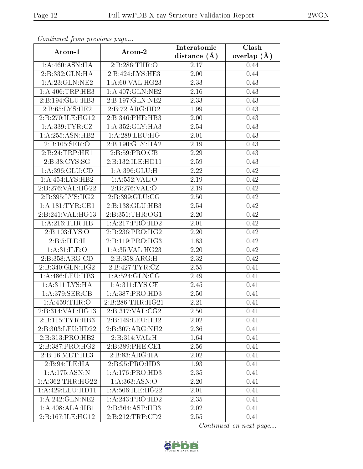| сонинией јтот ртеvиоиз раде    | Interatomic                  | Clash             |               |  |
|--------------------------------|------------------------------|-------------------|---------------|--|
| Atom-1                         | Atom-2                       | distance $(A)$    | overlap $(A)$ |  |
| 1: A:460:ASN:HA                | 2:B:286:THR:O                | 2.17              | 0.44          |  |
| 2:B:332:GLN:HA                 | 2:B:424:LYS:HE3              | $\overline{2}.00$ | 0.44          |  |
| 1: A:23: GLN:NE2               | 1: A:60: VAL:HG23            | 2.33              | 0.43          |  |
| 1: A:406:TRP:HE3               | 1: A:407: GLN: NE2           | 2.16              | 0.43          |  |
| 2:B:194:GLU:HB3                | 2:B:197:GLN:NE2              | 2.33              | 0.43          |  |
| 2:B:65:LYS:HE2                 | 2:B:72:ARG:HD2               | 1.99              | 0.43          |  |
| 2:B:270:ILE:HG12               | 2:B:346:PHE:HB3              | 2.00              | 0.43          |  |
| 1: A: 339: TYR: CZ             | 1:A:352:GLY:HA3              | 2.54              | 0.43          |  |
| 1: A:255: ASN:HB2              | 1: A:289:LEU:HG              | 2.01              | 0.43          |  |
| 2:B:105:SER:O                  | 2: B: 190: GLY: HA2          | 2.19              | 0.43          |  |
| 2:B:24:TRP:HE1                 | 2: B: 59: PRO: CB            | 2.29              | 0.43          |  |
| 2:B:38:CYS:SG                  | 2:B:132:ILE:HD11             | 2.59              | 0.43          |  |
| 1: A:396: GLU:CD               | 1: A: 396: GLU: H            | 2.22              | 0.42          |  |
| 1:A:454:LYS:HB2                | 1: A: 552: VAL: O            | 2.19              | 0.42          |  |
| 2:B:276:VAL:HG22               | 2:B:276:VAL:O                | 2.19              | 0.42          |  |
| 2:B:395:LYS:HG2                | 2:B:399:GLU:CG               | 2.50              | 0.42          |  |
| 1:A:181:TYR:CE1                | 2:B:138:GLU:HB3              | 2.54              | 0.42          |  |
| 2:B:241:VAL:HG13               | 2:B:351:THR:OG1              | 2.20              | 0.42          |  |
| 1:A:216:THR:HB                 | 1:A:217:PRO:HD2              | 2.01              | 0.42          |  |
| 2: B: 103: LYS: O              | 2:B:236:PRO:HG2              | 2.20              | 0.42          |  |
| 2:B:5:ILE:H                    | 2:B:119:PRO:HG3              | 1.83              | 0.42          |  |
| 1: A:31: ILE: O                | 1: A:35: VAL:HG23            | 2.20              | 0.42          |  |
| 2:B:358:ARG:CD                 | 2:B:358:ARG:H                | 2.32              | 0.42          |  |
| $2: B:340: \overline{GLN:HG2}$ | 2:B:427:TYR:CZ               | 2.55              | 0.41          |  |
| 1:A:486:LEU:HB3                | 1: A:524: GLN:CG             | 2.49              | 0.41          |  |
| 1: A:311:LYS:HA                | 1: A:311:LYS:CE              | 2.45              | 0.41          |  |
| 1:A:379:SER:CB                 | 1: A: 387: PRO: HD3          | 2.50              | 0.41          |  |
| 1:A:459:THR:O                  | 2:B:286:THR:HG21             | 2.21              | 0.41          |  |
| 2:B:314:VAL:HG13               | 2:B:317:VAL:CG2              | 2.50              | 0.41          |  |
| 2:B:115:TYR:HB3                | 2:B:149:LEU:HB2              | 2.02              | 0.41          |  |
| 2:B:303:LEU:HD22               | $2:B:307:ARG:\overline{NH2}$ | 2.36              | 0.41          |  |
| 2:B:313:PRO:HB2                | 2:B:314:VAL:H                | 1.64              | 0.41          |  |
| 2:B:387:PRO:HG2                | 2:B:389:PHE:CE1              | 2.56              | 0.41          |  |
| 2:B:16:MET:HE3                 | 2:B:83:ARG:HA                | 2.02              | 0.41          |  |
| 2:B:94:ILE:HA                  | 2: B: 95: PRO: HD3           | 1.93              | 0.41          |  |
| 1:A:175:ASN:N                  | 1: A:176: PRO:HD3            | 2.35              | 0.41          |  |
| 1: A: 362: THR: HG22           | 1: A: 363: ASN: O            | 2.20              | 0.41          |  |
| 1: A:429: LEU: HD11            | 1:A:506:ILE:HG22             | 2.01              | 0.41          |  |
| 1:A:242:GLN:NE2                | 1:A:243:PRO:HD2              | 2.35              | 0.41          |  |
| 1:A:408:ALA:HBI                | 2:B:364:ASP:HB3              | 2.02              | 0.41          |  |
| 2:B:167:ILE:HG12               | 2:B:212:TRP:CD2              | 2.55              | 0.41          |  |

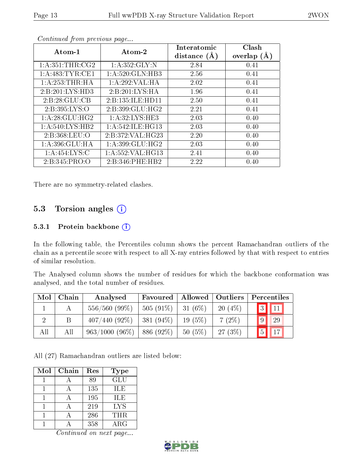| Atom-1             | Atom-2               | Interatomic<br>distance $(A)$ | Clash<br>overlap $(A)$ |
|--------------------|----------------------|-------------------------------|------------------------|
| 1: A:351:THR:CG2   | 1: A:352: GLY:N      | 2.84                          | 0.41                   |
| 1: A:483: TYR: CE1 | 1: A:520: GLN:HB3    | 2.56                          | 0.41                   |
| 1:A:253:THR:HA     | 1:A:292:VAL:HA       | 2.02                          | 0.41                   |
| 2:B:201:LYS:HD3    | 2:B:201:LYS:HA       | 1.96                          | 0.41                   |
| 2:B:28:GLU:CB      | 2:B:135:ILE:HD11     | 2.50                          | 0.41                   |
| 2: B: 395: LYS: O  | 2: B:399: GLU: HG2   | 2.21                          | 0.41                   |
| 1: A:28: GLU:HG2   | 1: A:32: LYS: HE3    | 2.03                          | 0.40                   |
| 1: A:540: LYS: HB2 | 1: A:542: ILE: HG13  | 2.03                          | 0.40                   |
| 2:B:368:LEU:O      | 2:B:372:VAL:H G23    | 2.20                          | 0.40                   |
| 1: A:396: GLU: HA  | 1:A:399:GLU:HG2      | 2.03                          | 0.40                   |
| 1: A:454: LYS:C    | 1: A: 552: VAL: HG13 | 2.41                          | 0.40                   |
| 2: B: 345: PRO: O  | 2:B:346:PHE:HB2      | 2.22                          | 0.40                   |

There are no symmetry-related clashes.

#### 5.3 Torsion angles (i)

#### 5.3.1 Protein backbone (i)

In the following table, the Percentiles column shows the percent Ramachandran outliers of the chain as a percentile score with respect to all X-ray entries followed by that with respect to entries of similar resolution.

The Analysed column shows the number of residues for which the backbone conformation was analysed, and the total number of residues.

| Mol | Chain | Analysed         | Favoured    | Allowed   Outliers |           |             | Percentiles      |
|-----|-------|------------------|-------------|--------------------|-----------|-------------|------------------|
|     |       | $556/560(99\%)$  | $505(91\%)$ | 31 $(6\%)$         | $20(4\%)$ |             | $3 \mid 11 \mid$ |
|     | Β     | $407/440(92\%)$  | $381(94\%)$ | $19(5\%)$          | $7(2\%)$  | $\boxed{9}$ | 29               |
| All | Αll   | $963/1000(96\%)$ | 886 (92%)   | $50(5\%)$          | $27(3\%)$ | $\boxed{5}$ | $\sqrt{17}$      |

All (27) Ramachandran outliers are listed below:

| Mol | Chain | Res | <b>Type</b> |
|-----|-------|-----|-------------|
|     |       | 89  | GLU         |
|     |       | 135 | <b>ILE</b>  |
|     |       | 195 | ILE         |
|     |       | 219 | <b>LYS</b>  |
|     |       | 286 | THR         |
|     |       | 358 | ${\rm ARG}$ |

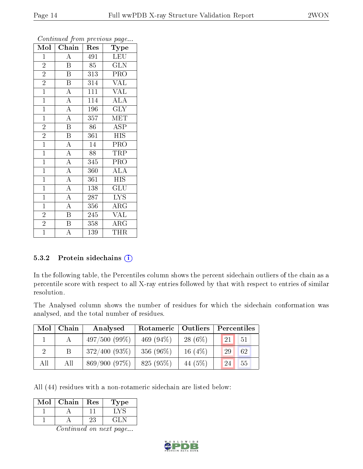| Mol            | Chain                   | Res              | Type                      |
|----------------|-------------------------|------------------|---------------------------|
| $\mathbf{1}$   | $\overline{\rm A}$      | 491              | LEU                       |
| $\overline{2}$ | $\mathbf B$             | 85               | <b>GLN</b>                |
| $\overline{2}$ | $\overline{\mathrm{B}}$ | 313              | PRO                       |
| $\overline{2}$ | $\boldsymbol{B}$        | 314              | <b>VAL</b>                |
| $\overline{1}$ | $\overline{\rm A}$      | $\overline{111}$ | $\overline{\text{VAL}}$   |
| $\mathbf{1}$   | $\overline{\rm A}$      | 114              | $\overline{\rm ALA}$      |
| $\mathbf{1}$   | $\overline{\rm A}$      | 196              | $\overline{\text{GLY}}$   |
| $\overline{1}$ | $\overline{A}$          | 357              | $\overline{\text{MET}}$   |
| $\overline{2}$ | $\overline{\mathbf{B}}$ | 86               | ASP                       |
| $\overline{2}$ | $\overline{\mathrm{B}}$ | 361              | <b>HIS</b>                |
| $\mathbf{1}$   | $\overline{\rm A}$      | 14               | PRO                       |
| $\overline{1}$ | $\overline{A}$          | 88               | TRP                       |
| $\mathbf{1}$   | $\overline{A}$          | 345              | PRO                       |
| $\overline{1}$ | $\overline{A}$          | 360              | $\overline{ALA}$          |
| $\overline{1}$ | $\overline{A}$          | 361              | $\overline{\mathrm{HIS}}$ |
| $\mathbf{1}$   | $\overline{A}$          | 138              | GLU                       |
| $\overline{1}$ | $\overline{A}$          | $\overline{287}$ | $\overline{\text{LYS}}$   |
| $\mathbf{1}$   | $\overline{\rm A}$      | 356              | $\rm{ARG}$                |
| $\overline{2}$ | $\mathbf B$             | 245              | <b>VAL</b>                |
| $\overline{2}$ | $\overline{\mathrm{B}}$ | 358              | $\overline{\rm{ARG}}$     |
| $\overline{1}$ | A                       | 139              | THR                       |

#### 5.3.2 Protein sidechains  $(i)$

In the following table, the Percentiles column shows the percent sidechain outliers of the chain as a percentile score with respect to all X-ray entries followed by that with respect to entries of similar resolution.

The Analysed column shows the number of residues for which the sidechain conformation was analysed, and the total number of residues.

| Mol            | Chain | Analysed        | Rotameric   Outliers |           | Percentiles |    |  |
|----------------|-------|-----------------|----------------------|-----------|-------------|----|--|
|                |       | 497/500(99%)    | 469 $(94\%)$         | $28(6\%)$ | 21          | 51 |  |
| $\overline{2}$ |       | $372/400(93\%)$ | 356 $(96\%)$         | 16 $(4%)$ | 29          | 62 |  |
| All            | All   | 869/900(97%)    | 825 (95%)            | 44 (5%)   | 24          | 55 |  |

All (44) residues with a non-rotameric sidechain are listed below:

| Mol | Chain | <b>Res</b> | Type    |
|-----|-------|------------|---------|
|     |       |            |         |
|     |       | Λ.         | $\pm 1$ |

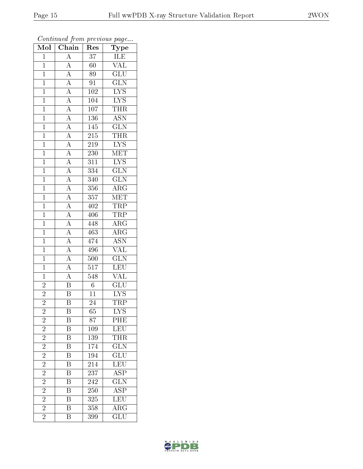| Mol            | $\overline{\phantom{a}}$<br>$\overline{\text{Chain}}$                                                                                                                                                                                                                                                                                                                                                          | ×.<br>Res        | $\mathbf{r}$<br>$\overline{v}$<br>${\rm \bar{Ty}pe}$ |
|----------------|----------------------------------------------------------------------------------------------------------------------------------------------------------------------------------------------------------------------------------------------------------------------------------------------------------------------------------------------------------------------------------------------------------------|------------------|------------------------------------------------------|
| $\mathbf{1}$   | $\overline{A}$                                                                                                                                                                                                                                                                                                                                                                                                 | 37               |                                                      |
| $\overline{1}$ | $\overline{A}$                                                                                                                                                                                                                                                                                                                                                                                                 | $\overline{60}$  | ILE<br>VAL                                           |
| $\overline{1}$ |                                                                                                                                                                                                                                                                                                                                                                                                                | 89               | $\overline{\text{GLU}}$                              |
| $\overline{1}$ |                                                                                                                                                                                                                                                                                                                                                                                                                | $\overline{91}$  | $\overline{\text{GLN}}$                              |
| $\overline{1}$ |                                                                                                                                                                                                                                                                                                                                                                                                                | $\overline{102}$ | $\overline{\text{LYS}}$                              |
| $\overline{1}$ |                                                                                                                                                                                                                                                                                                                                                                                                                | 104              | $\overline{\text{LYS}}$                              |
| $\overline{1}$ |                                                                                                                                                                                                                                                                                                                                                                                                                | $107\,$          | THR                                                  |
| $\mathbf{1}$   |                                                                                                                                                                                                                                                                                                                                                                                                                | 136              | $\overline{\text{ASN}}$                              |
| $\mathbf{1}$   |                                                                                                                                                                                                                                                                                                                                                                                                                | 145              | $\overline{\text{GLN}}$                              |
| $\overline{1}$ |                                                                                                                                                                                                                                                                                                                                                                                                                | $\overline{215}$ | <b>THR</b>                                           |
| $\overline{1}$ |                                                                                                                                                                                                                                                                                                                                                                                                                | 219              | $\overline{\text{LYS}}$                              |
| $\overline{1}$ |                                                                                                                                                                                                                                                                                                                                                                                                                | <b>230</b>       | MET                                                  |
| $\overline{1}$ |                                                                                                                                                                                                                                                                                                                                                                                                                | 311              | $\overline{\text{LYS}}$                              |
| $\mathbf{1}$   |                                                                                                                                                                                                                                                                                                                                                                                                                | $\overline{334}$ | $\overline{\text{GLN}}$                              |
| $\overline{1}$ | $\frac{\overline{A}}{\overline{A}}\frac{\overline{A}}{\overline{A}}\frac{\overline{A}}{\overline{A}}\frac{\overline{A}}{\overline{A}}\frac{\overline{A}}{\overline{A}}\frac{\overline{A}}{\overline{A}}\frac{\overline{A}}{\overline{A}}\frac{\overline{A}}{\overline{A}}\frac{\overline{A}}{\overline{A}}\frac{\overline{A}}{\overline{A}}\frac{\overline{A}}{\overline{A}}\frac{\overline{A}}{\overline{A}}$ | 340              | $\overline{\text{GLN}}$                              |
| $\overline{1}$ |                                                                                                                                                                                                                                                                                                                                                                                                                | 356              | $\overline{\text{ARG}}$                              |
| $\overline{1}$ |                                                                                                                                                                                                                                                                                                                                                                                                                | $\overline{357}$ | MET                                                  |
| $\overline{1}$ |                                                                                                                                                                                                                                                                                                                                                                                                                | 402              | <b>TRP</b>                                           |
| $\mathbf{1}$   |                                                                                                                                                                                                                                                                                                                                                                                                                | $\overline{406}$ | <b>TRP</b>                                           |
| $\overline{1}$ |                                                                                                                                                                                                                                                                                                                                                                                                                | 448              | $\overline{\text{ARG}}$                              |
| $\overline{1}$ |                                                                                                                                                                                                                                                                                                                                                                                                                | 463              | $\overline{\rm ARG}$                                 |
| $\overline{1}$ |                                                                                                                                                                                                                                                                                                                                                                                                                | 474              | $\overline{\text{ASN}}$                              |
| $\mathbf{1}$   |                                                                                                                                                                                                                                                                                                                                                                                                                | 496              | $\overline{\text{VAL}}$                              |
| $\overline{1}$ |                                                                                                                                                                                                                                                                                                                                                                                                                | 500              | $\overline{\text{GLN}}$                              |
| $\mathbf{1}$   |                                                                                                                                                                                                                                                                                                                                                                                                                | $\overline{517}$ | LEU                                                  |
| $\overline{1}$ | $\frac{\overline{A}}{B}$                                                                                                                                                                                                                                                                                                                                                                                       | 548              | $\overline{\text{VAL}}$                              |
| $\overline{2}$ |                                                                                                                                                                                                                                                                                                                                                                                                                | $\overline{6}$   | $\overline{\text{GLU}}$                              |
| $\overline{2}$ | $\overline{\mathbf{B}}$                                                                                                                                                                                                                                                                                                                                                                                        | $\overline{11}$  | <b>LYS</b>                                           |
| $\overline{2}$ | $\overline{\mathrm{B}}$                                                                                                                                                                                                                                                                                                                                                                                        | $\overline{24}$  | TRP                                                  |
| $\overline{c}$ | B                                                                                                                                                                                                                                                                                                                                                                                                              | 65               | <b>LYS</b>                                           |
| $\overline{2}$ | B                                                                                                                                                                                                                                                                                                                                                                                                              | 87               | $P \overline{HE}$                                    |
| $\overline{2}$ | $\overline{\mathrm{B}}$                                                                                                                                                                                                                                                                                                                                                                                        | 109              | LEU                                                  |
| $\overline{c}$ | Β                                                                                                                                                                                                                                                                                                                                                                                                              | 139              | $T\bar{H}\bar{R}$                                    |
| $\overline{2}$ | $\overline{\mathrm{B}}$                                                                                                                                                                                                                                                                                                                                                                                        | 174              | $\overline{\text{GLN}}$                              |
| $\overline{2}$ | Β                                                                                                                                                                                                                                                                                                                                                                                                              | 194              | $\overline{\text{GLU}}$                              |
| $\overline{2}$ | $\overline{\mathrm{B}}$                                                                                                                                                                                                                                                                                                                                                                                        | 214              | LEU                                                  |
| $\overline{2}$ | $\overline{\mathrm{B}}$                                                                                                                                                                                                                                                                                                                                                                                        | 237              | ASP                                                  |
| $\overline{2}$ | $\overline{\rm B}$                                                                                                                                                                                                                                                                                                                                                                                             | 242              | $\overline{\text{GLN}}$                              |
| $\overline{2}$ | $\overline{\mathrm{B}}$                                                                                                                                                                                                                                                                                                                                                                                        | <b>250</b>       | $\overline{\rm ASP}$                                 |
| $\overline{2}$ | B                                                                                                                                                                                                                                                                                                                                                                                                              | 325              | $\overline{\text{LEU}}$                              |
| $\overline{2}$ | $\overline{\mathrm{B}}$                                                                                                                                                                                                                                                                                                                                                                                        | 358              | $\overline{\rm{ARG}}$                                |
| $\overline{2}$ | Β                                                                                                                                                                                                                                                                                                                                                                                                              | 399              | $\overline{\text{GLU}}$                              |

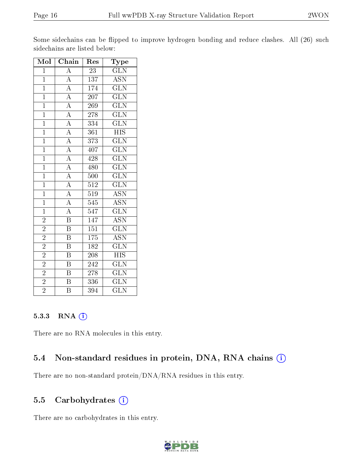| $\overline{\text{Mol}}$ | Chain                   | Res              | Type                      |
|-------------------------|-------------------------|------------------|---------------------------|
| $\mathbf 1$             | $\boldsymbol{A}$        | 23               | <b>GLN</b>                |
| $\mathbf{1}$            | $\overline{A}$          | 137              | $\overline{ASN}$          |
| $\mathbf{1}$            | $\overline{\rm A}$      | 174              | $\overline{\text{GLN}}$   |
| $\overline{1}$          | $\overline{A}$          | $20\overline{7}$ | $\overline{\text{GLN}}$   |
| $\overline{1}$          | $\overline{A}$          | 269              | $\overline{\text{GLN}}$   |
| $\overline{1}$          | $\overline{A}$          | 278              | $\overline{\text{GLN}}$   |
| $\overline{1}$          | $\overline{A}$          | 334              | $\widetilde{{\rm GLN}}$   |
| $\mathbf{1}$            | $\overline{A}$          | 361              | <b>HIS</b>                |
| $\overline{1}$          | $\overline{A}$          | $\overline{373}$ | $\overline{\text{GLN}}$   |
| $\overline{1}$          | $\overline{A}$          | 407              | $\overline{\text{GLN}}$   |
| $\overline{1}$          | $\overline{A}$          | 428              | $\overline{\text{GLN}}$   |
| $\overline{1}$          | $\overline{A}$          | 480              | $\overline{\text{GLN}}$   |
| $\overline{1}$          | $\overline{A}$          | 500              | $\overline{\text{GLN}}$   |
| $\overline{1}$          | $\overline{A}$          | $\overline{512}$ | $\overline{\text{GLN}}$   |
| $\overline{1}$          | $\overline{A}$          | 519              | $\overline{\text{ASN}}$   |
| $\overline{1}$          | $\overline{A}$          | $\overline{545}$ | $\overline{\mathrm{ASN}}$ |
| $\overline{1}$          | $\overline{\rm A}$      | $\overline{547}$ | $\overline{\text{GLN}}$   |
| $\overline{2}$          | $\overline{\mathbf{B}}$ | 147              | <b>ASN</b>                |
| $\overline{2}$          | $\overline{\mathrm{B}}$ | $\overline{151}$ | $\overline{\text{GLN}}$   |
| $\overline{2}$          | B                       | 175              | $\overline{\text{ASN}}$   |
| $\overline{2}$          | $\overline{\mathrm{B}}$ | 182              | $\overline{\text{GLN}}$   |
| $\overline{2}$          | $\overline{\mathrm{B}}$ | 208              | <b>HIS</b>                |
| $\overline{2}$          | $\boldsymbol{B}$        | 242              | $\overline{\text{GLN}}$   |
| $\overline{2}$          | $\overline{\mathrm{B}}$ | 278              | $\overline{\text{GLN}}$   |
| $\overline{2}$          | $\boldsymbol{B}$        | 336              | $\overline{\text{GLN}}$   |
| $\overline{2}$          | $\overline{\mathrm{B}}$ | 394              | $\overline{\text{GLN}}$   |

Some sidechains can be flipped to improve hydrogen bonding and reduce clashes. All (26) such sidechains are listed below:

#### 5.3.3 RNA (1)

There are no RNA molecules in this entry.

#### 5.4 Non-standard residues in protein, DNA, RNA chains (i)

There are no non-standard protein/DNA/RNA residues in this entry.

#### 5.5 Carbohydrates (i)

There are no carbohydrates in this entry.

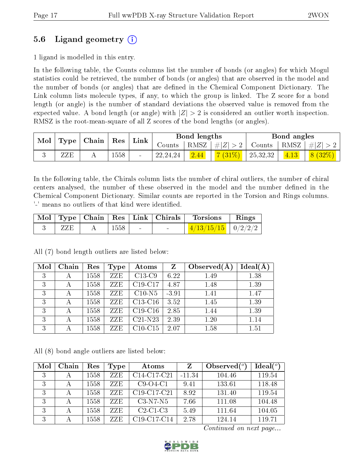## 5.6 Ligand geometry (i)

1 ligand is modelled in this entry.

In the following table, the Counts columns list the number of bonds (or angles) for which Mogul statistics could be retrieved, the number of bonds (or angles) that are observed in the model and the number of bonds (or angles) that are dened in the Chemical Component Dictionary. The Link column lists molecule types, if any, to which the group is linked. The Z score for a bond length (or angle) is the number of standard deviations the observed value is removed from the expected value. A bond length (or angle) with  $|Z| > 2$  is considered an outlier worth inspection. RMSZ is the root-mean-square of all Z scores of the bond lengths (or angles).

| $\operatorname{Mol}$<br>$\vert$ Type $\vert$ |     | $\mid$ Chain $\mid$ | $\operatorname{Res}$ | Link           |            | Bond lengths |                       |                                        | Bond angles        |        |
|----------------------------------------------|-----|---------------------|----------------------|----------------|------------|--------------|-----------------------|----------------------------------------|--------------------|--------|
|                                              |     |                     |                      |                | Counts     |              | $ RMSZ  \#  Z  > 2  $ | Counts   RMSZ $\vert \# \vert Z \vert$ |                    |        |
|                                              | ZZE |                     | 1558                 | $\blacksquare$ | 22, 24, 24 | 2.44         | $7(31\%)$             | $\perp 25,32,32 \perp$                 | $\vert 4.13 \vert$ | 8(32%) |

In the following table, the Chirals column lists the number of chiral outliers, the number of chiral centers analysed, the number of these observed in the model and the number defined in the Chemical Component Dictionary. Similar counts are reported in the Torsion and Rings columns. '-' means no outliers of that kind were identified.

|  |      | Mol   Type   Chain   Res   Link   Chirals | Torsions                 | Rings |
|--|------|-------------------------------------------|--------------------------|-------|
|  | 1558 | $\sim$                                    | $1/4/13/15/15$   0/2/2/2 |       |

 $\mathrm{Mol}\mid\mathrm{Chain}\mid\mathrm{Res}\mid\mathrm{Type}\mid\mathrm{Atoms}\mid\mathrm{Z}\mid\mathrm{Observed}(\mathrm{A})\mid\mathrm{Ideal}(\mathrm{A})$ 3 | A | $1558$  |  $ZZE$  |  $C13-C9$  |  $6.22$  |  $1.49$  |  $1.38$ 3 | A |1558 | ZZE | C19-C17 | 4.87 | 1.48 | 1.39 3 | A | $1558$  |  $ZZE$  |  $C10-N5$  |  $-3.91$  |  $1.41$  |  $1.47$ 3 | A | 1558 | ZZE | C13-C16 | 3.52 | 1.45 | 1.39 3 | A | 1558 | ZZE | C19-C16 | 2.85 | 1.44 | 1.39 3 | A | 1558 | ZZE | C21-N23 | 2.39 | 1.20 | 1.14 3 | A | 1558 | ZZE | C10-C15 | 2.07 | 1.58 | 1.51

All (7) bond length outliers are listed below:

All (8) bond angle outliers are listed below:

| Mol | Chain       | Res  | Type | Atoms                                             | Z        | Observed $(^\circ)$ | Ideal $(°)$ |
|-----|-------------|------|------|---------------------------------------------------|----------|---------------------|-------------|
| 3   | А           | 1558 | ZZE  | C <sub>14</sub> -C <sub>17</sub> -C <sub>21</sub> | $-11.34$ | 104.46              | 119.54      |
| 3   | А           | 1558 | ZZE  | $C9-O4-C1$                                        | 9.41     | 133.61              | 118.48      |
| 3   | $\mathbf A$ | 1558 | ZZE  | C19-C17-C21                                       | 8.92     | 131.40              | 119.54      |
| 3   | А           | 1558 | ZZE  | $C3-N7-N5$                                        | 7.66     | 111.08              | 104.48      |
| 3   | А           | 1558 | ZZE. | $C2-C1-C3$                                        | 5.49     | 111.64              | 104.05      |
| 3   | А           | 1558 | ZZE  | C19-C17-C14                                       | 2.78     | 124.14              | 119.71      |

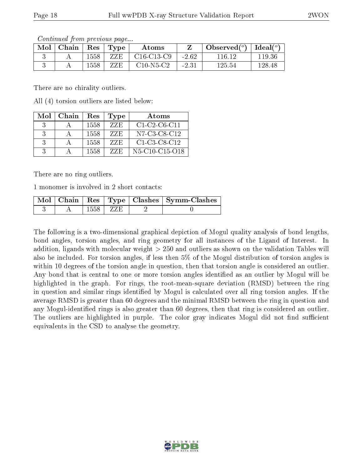| contentation in procto as pagent |       |      |                          |               |         |                                              |        |
|----------------------------------|-------|------|--------------------------|---------------|---------|----------------------------------------------|--------|
| Mol                              | Chain |      | $\vert$ Res $\vert$ Type | Atoms         |         | Observed( $^{\circ}$ )   Ideal( $^{\circ}$ ) |        |
|                                  |       | 1558 | ZZE                      | $C16$ -C13-C9 | $-2.62$ | 116.12                                       | 119.36 |
|                                  |       | 1558 | ZZE                      | $C10-N5-C2$   | $-2.31$ | 125.54                                       | 128.48 |

There are no chirality outliers.

All (4) torsion outliers are listed below:

| Mol           | Chain | Res  | Type | Atoms                                                             |
|---------------|-------|------|------|-------------------------------------------------------------------|
| -3            |       | 1558 | ZZE  | $C1-C2-C6-C11$                                                    |
| $\mathcal{R}$ |       | 1558 | ZZE  | N7-C3-C8-C12                                                      |
| $\mathcal{R}$ |       | 1558 | ZZE  | $C1-C3-C8-C12$                                                    |
| $\mathcal{R}$ |       | 1558 | 7.ZE | N <sub>5</sub> -C <sub>10</sub> -C <sub>15</sub> -O <sub>18</sub> |

There are no ring outliers.

1 monomer is involved in 2 short contacts:

|  |            | Mol   Chain   Res   Type   Clashes   Symm-Clashes |
|--|------------|---------------------------------------------------|
|  | 1558   ZZE |                                                   |

The following is a two-dimensional graphical depiction of Mogul quality analysis of bond lengths, bond angles, torsion angles, and ring geometry for all instances of the Ligand of Interest. In addition, ligands with molecular weight > 250 and outliers as shown on the validation Tables will also be included. For torsion angles, if less then 5% of the Mogul distribution of torsion angles is within 10 degrees of the torsion angle in question, then that torsion angle is considered an outlier. Any bond that is central to one or more torsion angles identified as an outlier by Mogul will be highlighted in the graph. For rings, the root-mean-square deviation (RMSD) between the ring in question and similar rings identified by Mogul is calculated over all ring torsion angles. If the average RMSD is greater than 60 degrees and the minimal RMSD between the ring in question and any Mogul-identified rings is also greater than 60 degrees, then that ring is considered an outlier. The outliers are highlighted in purple. The color gray indicates Mogul did not find sufficient equivalents in the CSD to analyse the geometry.

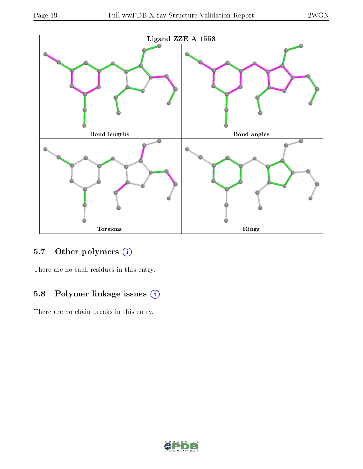

## 5.7 [O](https://www.wwpdb.org/validation/2017/XrayValidationReportHelp#nonstandard_residues_and_ligands)ther polymers (i)

There are no such residues in this entry.

## 5.8 Polymer linkage issues (i)

There are no chain breaks in this entry.

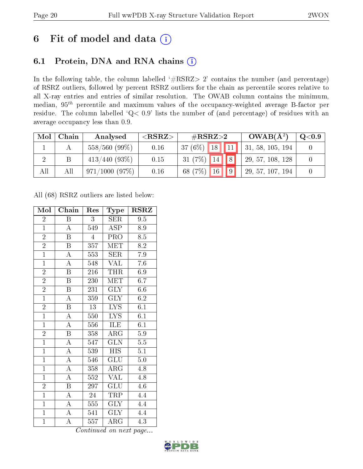# 6 Fit of model and data  $(i)$

## 6.1 Protein, DNA and RNA chains  $(i)$

In the following table, the column labelled  $#RSRZ> 2'$  contains the number (and percentage) of RSRZ outliers, followed by percent RSRZ outliers for the chain as percentile scores relative to all X-ray entries and entries of similar resolution. The OWAB column contains the minimum, median,  $95<sup>th</sup>$  percentile and maximum values of the occupancy-weighted average B-factor per residue. The column labelled ' $Q< 0.9$ ' lists the number of (and percentage) of residues with an average occupancy less than 0.9.

| Mol | Chain | Analysed        | ${ <\hspace{-1.5pt}{\mathrm{RSRZ}} \hspace{-1.5pt}>}$ | $\#\text{RSRZ}\text{>2}$           | $OWAB(A^2)$      | $\rm Q\textcolor{black}{<}0.9$ |
|-----|-------|-----------------|-------------------------------------------------------|------------------------------------|------------------|--------------------------------|
|     |       | $558/560(99\%)$ | 0.16                                                  | $\parallel$ 11 $'$<br>$37(6\%)$ 18 | 31, 58, 105, 194 |                                |
|     |       | $413/440(93\%)$ | 0.15                                                  | $31(7\%)$ 14 8                     | 29, 57, 108, 128 |                                |
| All | Αll   | 971/1000(97%)   | 0.16                                                  | $\sqrt{16}$ $\sqrt{9}$<br>68 (7%)  | 29, 57, 107, 194 |                                |

All (68) RSRZ outliers are listed below:

| Mol            | Chain                   | Res              | Type                    | $\rm RSRZ$       |
|----------------|-------------------------|------------------|-------------------------|------------------|
| $\overline{2}$ | Β                       | 3                | SER                     | 9.5              |
| $\mathbf{1}$   | $\boldsymbol{A}$        | 549              | ASP                     | 8.9              |
| $\overline{2}$ | $\overline{\mathrm{B}}$ | $\overline{4}$   | PRO                     | $\overline{8.5}$ |
| $\overline{2}$ | $\boldsymbol{B}$        | 357              | MET                     | 8.2              |
| $\overline{1}$ | $\overline{\rm A}$      | 553              | <b>SER</b>              | $7.9\,$          |
| $\overline{1}$ | $\overline{\rm A}$      | 548              | <b>VAL</b>              | 7.6              |
| $\overline{2}$ | $\overline{\mathrm{B}}$ | 216              | THR                     | 6.9              |
| $\overline{2}$ | $\boldsymbol{B}$        | 230              | MET                     | $6.\overline{7}$ |
| $\overline{2}$ | $\, {\bf B}$            | 231              | <b>GLY</b>              | 6.6              |
| $\overline{1}$ | $\overline{A}$          | 359              | $\overline{\text{GLY}}$ | 6.2              |
| $\overline{2}$ | $\overline{\mathrm{B}}$ | 13               | LYS                     | 6.1              |
| $\overline{1}$ | $\overline{\rm A}$      | 550              | $\overline{\text{LYS}}$ | $\overline{6.1}$ |
| $\overline{1}$ | $\overline{A}$          | 556              | ILE                     | 6.1              |
| $\overline{2}$ | $\overline{B}$          | 358              | $\rm{ARG}$              | 5.9              |
| $\overline{1}$ | $\overline{\rm A}$      | 547              | $\overline{\text{GLN}}$ | 5.5              |
| $\overline{1}$ | $\overline{\rm A}$      | 539              | $\overline{H}$ IS       | $\overline{5.1}$ |
| $\overline{1}$ | $\overline{\rm A}$      | 546              | $\overline{{\rm GLU}}$  | $\overline{5.0}$ |
| $\overline{1}$ | $\overline{\rm A}$      | 358              | $\rm{ARG}$              | 4.8              |
| $\overline{1}$ | $\overline{\rm A}$      | 552              | <b>VAL</b>              | 4.8              |
| $\overline{2}$ | B                       | $29\overline{7}$ | GLU                     | 4.6              |
| $\overline{1}$ | $\overline{\rm A}$      | $\overline{2}4$  | TRP                     | 4.4              |
| $\overline{1}$ | $\overline{\rm A}$      | 555              | $\overline{\text{GLY}}$ | $4.\overline{4}$ |
| $\overline{1}$ | $\overline{A}$          | 541              | <b>GLY</b>              | 4.4              |
| $\mathbf{1}$   | $\overline{\rm A}$      | 557              | $\rm{ARG}$              | 4.3              |

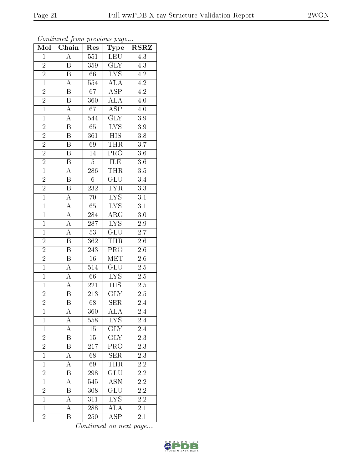| Mol            | Chain                   | Res              | Type                    | <b>RSRZ</b>      |
|----------------|-------------------------|------------------|-------------------------|------------------|
| $\mathbf{1}$   | $\overline{\rm A}$      | 551              | LEU                     | $\overline{4.3}$ |
| $\overline{2}$ | B                       | 359              | <b>GLY</b>              | 4.3              |
| $\overline{2}$ | $\overline{\mathrm{B}}$ | 66               | $\overline{\text{LYS}}$ | $\overline{4.2}$ |
| $\overline{1}$ | $\boldsymbol{A}$        | 554              | $\overline{\rm ALA}$    | 4.2              |
| $\overline{2}$ | $\overline{\mathrm{B}}$ | 67               | <b>ASP</b>              | $\overline{4.2}$ |
| $\overline{2}$ | Β                       | 360              | $\rm AL\overline{A}$    | 4.0              |
| $\overline{1}$ | $\overline{\rm A}$      | 67               | $\overline{\text{ASP}}$ | 4.0              |
| $\overline{1}$ | $\overline{\rm A}$      | 544              | $\overline{\text{GLY}}$ | $3.9\,$          |
| $\overline{2}$ | $\overline{\mathrm{B}}$ | $\overline{65}$  | $\overline{\text{LYS}}$ | 3.9              |
| $\overline{2}$ | $\overline{\mathrm{B}}$ | 361              | $\overline{HIS}$        | $\overline{3.8}$ |
| $\overline{2}$ | $\boldsymbol{B}$        | 69               | <b>THR</b>              | 3.7              |
| $\overline{2}$ | Β                       | 14               | $\overline{\text{PRO}}$ | $\overline{3.6}$ |
| $\overline{2}$ | B                       | $\overline{5}$   | ILE                     | $\overline{3.6}$ |
| $\overline{1}$ | $\boldsymbol{A}$        | 286              | THR                     | $\overline{3.5}$ |
| $\overline{2}$ | $\overline{\mathrm{B}}$ | $\overline{6}$   | $\overline{\text{GLU}}$ | $\overline{3.4}$ |
| $\frac{2}{1}$  | B                       | 232              | <b>TYR</b>              | 3.3              |
|                | A                       | 70               | $\overline{\text{LYS}}$ | $\overline{3.1}$ |
| $\overline{1}$ | A                       | 65               | $\overline{LYS}$        | 3.1              |
| $\overline{1}$ | $\boldsymbol{A}$        | 284              | $AR\overline{G}$        | $\overline{3}.0$ |
| $\mathbf{1}$   | $\overline{\rm A}$      | 287              | $\overline{\text{LYS}}$ | $\overline{2.9}$ |
| $\mathbf{1}$   | A                       | 53               | <b>GLU</b>              | 2.7              |
| $\overline{2}$ | $\overline{\mathrm{B}}$ | 362              | <b>THR</b>              | $\overline{2.6}$ |
| $\overline{2}$ | B                       | 243              | PRO                     | $2.6\,$          |
| $\overline{2}$ | $\overline{\mathrm{B}}$ | $\overline{16}$  | $\overline{\text{MET}}$ | $\overline{2.6}$ |
| $\overline{1}$ | $\overline{A}$          | 514              | GLU                     | $2.5\,$          |
| $\overline{1}$ | A                       | 66               | ${\rm LYS}$             | $2.5\,$          |
| $\overline{1}$ | $\overline{A}$          | 221              | $\overline{HIS}$        | 2.5              |
| $\overline{2}$ | B                       | 213              | <b>GLY</b>              | $2.5\,$          |
| $\overline{2}$ | $\overline{\mathrm{B}}$ | $\overline{68}$  | $\overline{\text{SER}}$ | $2.\bar{4}$      |
| $\mathbf{1}$   | А                       | 360              | $\overline{\rm ALA}$    | 2.4              |
| $\mathbf{1}$   | A                       | 558              | LYS                     | 2.4              |
| $\mathbf{1}$   | $\overline{\rm A}$      | 15               | $\overline{\text{GLY}}$ | 2.4              |
| $\overline{2}$ | Β                       | 15               | <b>GLY</b>              | 2.3              |
| $\overline{2}$ | $\overline{\mathrm{B}}$ | $\overline{217}$ | PRO                     | $\overline{2.3}$ |
| $\overline{1}$ | A                       | 68               | <b>SER</b>              | $2.3\,$          |
| $\overline{1}$ | A                       | 69               | THR                     | 2.2              |
| $\frac{2}{1}$  | Β                       | 298              | <b>GLU</b>              | $2.2\,$          |
|                | A                       | 545              | <b>ASN</b>              | 2.2              |
| $\overline{2}$ | $\overline{\mathrm{B}}$ | 308              | GLU                     | $2.2\,$          |
| $\mathbf{1}$   | А                       | 311              | LYS                     | $2.2\,$          |
| $\mathbf{1}$   | $\overline{\rm A}$      | 288              | $\overline{\rm ALA}$    | 2.1              |
| $\overline{2}$ | Β                       | 250              | $\overline{\text{ASP}}$ | 2.1              |

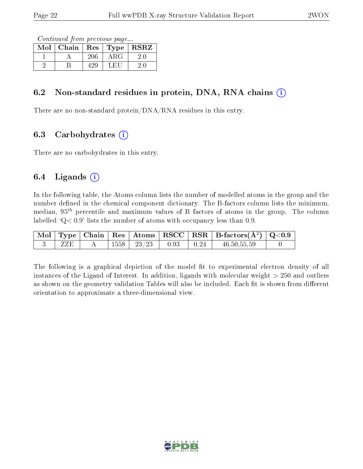Continued from previous page...

| Mol | Chain | $\operatorname{Res}$ | Type  | <b>RSRZ</b> |
|-----|-------|----------------------|-------|-------------|
|     |       |                      | A R.G |             |
|     |       |                      | L HI  |             |

#### 6.2 Non-standard residues in protein, DNA, RNA chains  $(i)$

There are no non-standard protein/DNA/RNA residues in this entry.

### 6.3 Carbohydrates  $(i)$

There are no carbohydrates in this entry.

#### 6.4 Ligands  $(i)$

In the following table, the Atoms column lists the number of modelled atoms in the group and the number defined in the chemical component dictionary. The B-factors column lists the minimum, median,  $95<sup>th</sup>$  percentile and maximum values of B factors of atoms in the group. The column labelled  $Q < 0.9$ ' lists the number of atoms with occupancy less than 0.9.

|  |      |      | $\mid$ Mol $\mid$ Type $\mid$ Chain $\mid$ Res $\mid$ Atoms $\mid$ RSCC $\mid$ RSR $\mid$ B-factors(A <sup>2</sup> ) $\mid$ Q<0.9 |  |
|--|------|------|-----------------------------------------------------------------------------------------------------------------------------------|--|
|  | 1558 | 0.93 | 46, 50, 55, 59                                                                                                                    |  |

The following is a graphical depiction of the model fit to experimental electron density of all instances of the Ligand of Interest. In addition, ligands with molecular weight  $> 250$  and outliers as shown on the geometry validation Tables will also be included. Each fit is shown from different orientation to approximate a three-dimensional view.